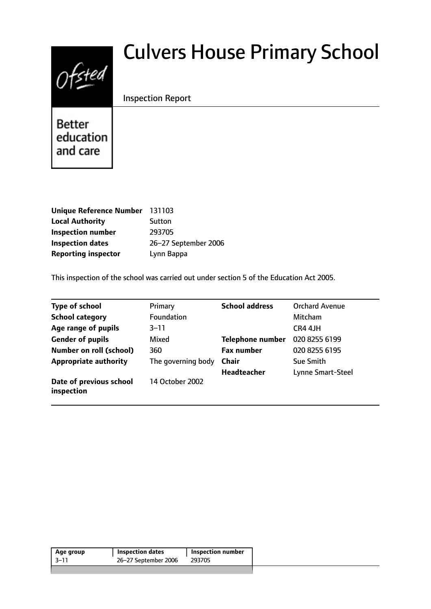# $0$ fsted

# Culvers House Primary School

Inspection Report

Better education and care

| <b>Unique Reference Number</b> | 131103               |
|--------------------------------|----------------------|
| <b>Local Authority</b>         | Sutton               |
| <b>Inspection number</b>       | 293705               |
| <b>Inspection dates</b>        | 26-27 September 2006 |
| <b>Reporting inspector</b>     | Lynn Bappa           |

This inspection of the school was carried out under section 5 of the Education Act 2005.

| <b>Type of school</b>                 | Primary            | <b>School address</b>   | <b>Orchard Avenue</b> |
|---------------------------------------|--------------------|-------------------------|-----------------------|
| <b>School category</b>                | Foundation         |                         | Mitcham               |
| Age range of pupils                   | 3–11               |                         | CR4 4JH               |
| <b>Gender of pupils</b>               | Mixed              | <b>Telephone number</b> | 020 8255 6199         |
| <b>Number on roll (school)</b>        | 360                | <b>Fax number</b>       | 020 8255 6195         |
| <b>Appropriate authority</b>          | The governing body | <b>Chair</b>            | <b>Sue Smith</b>      |
|                                       |                    | <b>Headteacher</b>      | Lynne Smart-Steel     |
| Date of previous school<br>inspection | 14 October 2002    |                         |                       |

| Age group | <b>Inspection dates</b> | <b>Inspection number</b> |
|-----------|-------------------------|--------------------------|
| -3–11     | 26-27 September 2006    | 293705                   |
|           |                         |                          |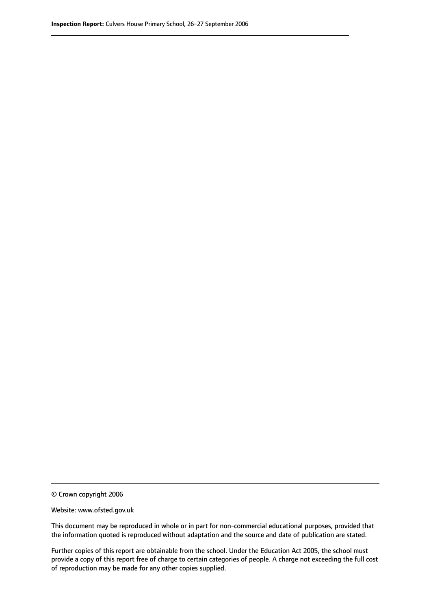© Crown copyright 2006

Website: www.ofsted.gov.uk

This document may be reproduced in whole or in part for non-commercial educational purposes, provided that the information quoted is reproduced without adaptation and the source and date of publication are stated.

Further copies of this report are obtainable from the school. Under the Education Act 2005, the school must provide a copy of this report free of charge to certain categories of people. A charge not exceeding the full cost of reproduction may be made for any other copies supplied.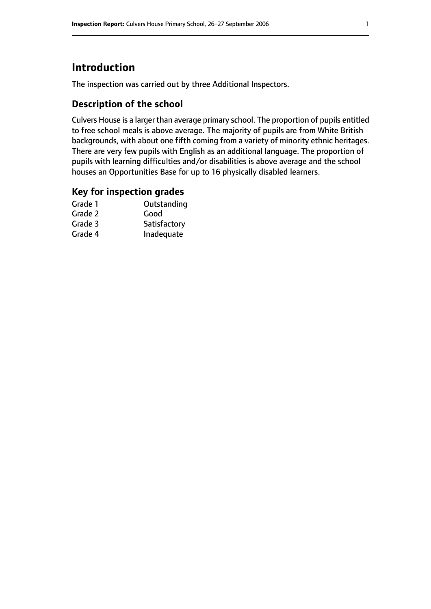# **Introduction**

The inspection was carried out by three Additional Inspectors.

## **Description of the school**

Culvers House is a larger than average primary school. The proportion of pupils entitled to free school meals is above average. The majority of pupils are from White British backgrounds, with about one fifth coming from a variety of minority ethnic heritages. There are very few pupils with English as an additional language. The proportion of pupils with learning difficulties and/or disabilities is above average and the school houses an Opportunities Base for up to 16 physically disabled learners.

#### **Key for inspection grades**

| Grade 1 | Outstanding  |
|---------|--------------|
| Grade 2 | Good         |
| Grade 3 | Satisfactory |
| Grade 4 | Inadequate   |
|         |              |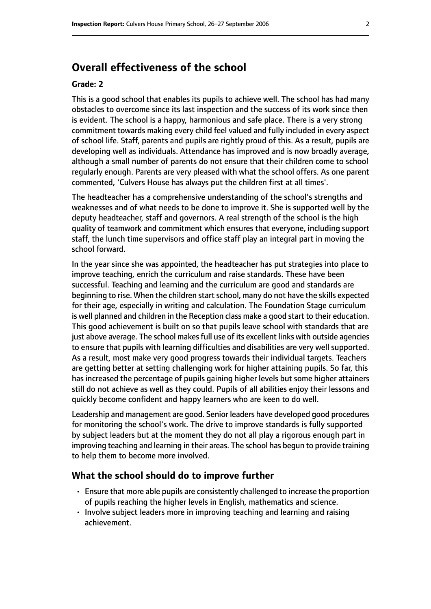# **Overall effectiveness of the school**

#### **Grade: 2**

This is a good school that enables its pupils to achieve well. The school has had many obstacles to overcome since its last inspection and the success of its work since then is evident. The school is a happy, harmonious and safe place. There is a very strong commitment towards making every child feel valued and fully included in every aspect of school life. Staff, parents and pupils are rightly proud of this. As a result, pupils are developing well as individuals. Attendance has improved and is now broadly average, although a small number of parents do not ensure that their children come to school regularly enough. Parents are very pleased with what the school offers. As one parent commented, 'Culvers House has always put the children first at all times'.

The headteacher has a comprehensive understanding of the school's strengths and weaknesses and of what needs to be done to improve it. She is supported well by the deputy headteacher, staff and governors. A real strength of the school is the high quality of teamwork and commitment which ensures that everyone, including support staff, the lunch time supervisors and office staff play an integral part in moving the school forward.

In the year since she was appointed, the headteacher has put strategies into place to improve teaching, enrich the curriculum and raise standards. These have been successful. Teaching and learning and the curriculum are good and standards are beginning to rise. When the children start school, many do not have the skills expected for their age, especially in writing and calculation. The Foundation Stage curriculum is well planned and children in the Reception class make a good start to their education. This good achievement is built on so that pupils leave school with standards that are just above average. The school makes full use of its excellent links with outside agencies to ensure that pupils with learning difficulties and disabilities are very well supported. As a result, most make very good progress towards their individual targets. Teachers are getting better at setting challenging work for higher attaining pupils. So far, this has increased the percentage of pupils gaining higher levels but some higher attainers still do not achieve as well as they could. Pupils of all abilities enjoy their lessons and quickly become confident and happy learners who are keen to do well.

Leadership and management are good. Senior leaders have developed good procedures for monitoring the school's work. The drive to improve standards is fully supported by subject leaders but at the moment they do not all play a rigorous enough part in improving teaching and learning in their areas. The school has begun to provide training to help them to become more involved.

#### **What the school should do to improve further**

- Ensure that more able pupils are consistently challenged to increase the proportion of pupils reaching the higher levels in English, mathematics and science.
- Involve subject leaders more in improving teaching and learning and raising achievement.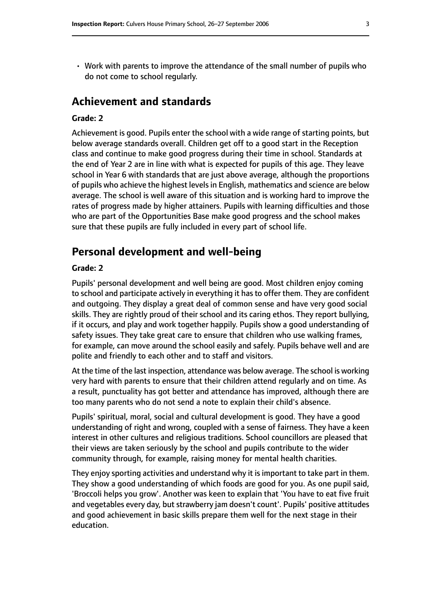• Work with parents to improve the attendance of the small number of pupils who do not come to school regularly.

# **Achievement and standards**

#### **Grade: 2**

Achievement is good. Pupils enter the school with a wide range of starting points, but below average standards overall. Children get off to a good start in the Reception class and continue to make good progress during their time in school. Standards at the end of Year 2 are in line with what is expected for pupils of this age. They leave school in Year 6 with standards that are just above average, although the proportions of pupils who achieve the highest levelsin English, mathematics and science are below average. The school is well aware of this situation and is working hard to improve the rates of progress made by higher attainers. Pupils with learning difficulties and those who are part of the Opportunities Base make good progress and the school makes sure that these pupils are fully included in every part of school life.

#### **Personal development and well-being**

#### **Grade: 2**

Pupils' personal development and well being are good. Most children enjoy coming to school and participate actively in everything it has to offer them. They are confident and outgoing. They display a great deal of common sense and have very good social skills. They are rightly proud of their school and its caring ethos. They report bullying, if it occurs, and play and work together happily. Pupils show a good understanding of safety issues. They take great care to ensure that children who use walking frames, for example, can move around the school easily and safely. Pupils behave well and are polite and friendly to each other and to staff and visitors.

At the time of the last inspection, attendance was below average. The school is working very hard with parents to ensure that their children attend regularly and on time. As a result, punctuality has got better and attendance has improved, although there are too many parents who do not send a note to explain their child's absence.

Pupils' spiritual, moral, social and cultural development is good. They have a good understanding of right and wrong, coupled with a sense of fairness. They have a keen interest in other cultures and religious traditions. School councillors are pleased that their views are taken seriously by the school and pupils contribute to the wider community through, for example, raising money for mental health charities.

They enjoy sporting activities and understand why it is important to take part in them. They show a good understanding of which foods are good for you. As one pupil said, 'Broccoli helps you grow'. Another was keen to explain that 'You have to eat five fruit and vegetables every day, but strawberry jam doesn't count'. Pupils' positive attitudes and good achievement in basic skills prepare them well for the next stage in their education.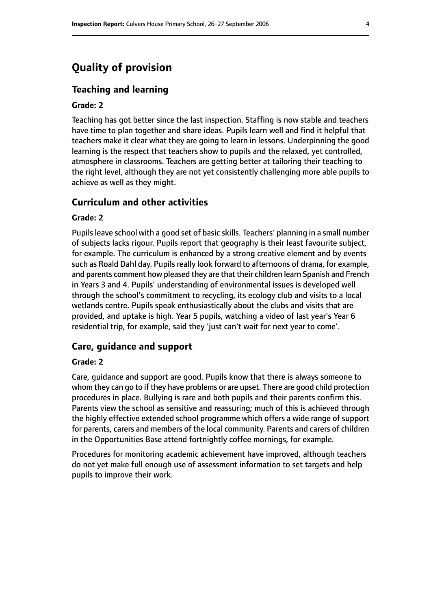# **Quality of provision**

#### **Teaching and learning**

#### **Grade: 2**

Teaching has got better since the last inspection. Staffing is now stable and teachers have time to plan together and share ideas. Pupils learn well and find it helpful that teachers make it clear what they are going to learn in lessons. Underpinning the good learning is the respect that teachers show to pupils and the relaxed, yet controlled, atmosphere in classrooms. Teachers are getting better at tailoring their teaching to the right level, although they are not yet consistently challenging more able pupils to achieve as well as they might.

#### **Curriculum and other activities**

#### **Grade: 2**

Pupils leave school with a good set of basic skills. Teachers' planning in a small number of subjects lacks rigour. Pupils report that geography is their least favourite subject, for example. The curriculum is enhanced by a strong creative element and by events such as Roald Dahl day. Pupils really look forward to afternoons of drama, for example, and parents comment how pleased they are that their children learn Spanish and French in Years 3 and 4. Pupils' understanding of environmental issues is developed well through the school's commitment to recycling, its ecology club and visits to a local wetlands centre. Pupils speak enthusiastically about the clubs and visits that are provided, and uptake is high. Year 5 pupils, watching a video of last year's Year 6 residential trip, for example, said they 'just can't wait for next year to come'.

#### **Care, guidance and support**

#### **Grade: 2**

Care, guidance and support are good. Pupils know that there is always someone to whom they can go to if they have problems or are upset. There are good child protection procedures in place. Bullying is rare and both pupils and their parents confirm this. Parents view the school as sensitive and reassuring; much of this is achieved through the highly effective extended school programme which offers a wide range of support for parents, carers and members of the local community. Parents and carers of children in the Opportunities Base attend fortnightly coffee mornings, for example.

Procedures for monitoring academic achievement have improved, although teachers do not yet make full enough use of assessment information to set targets and help pupils to improve their work.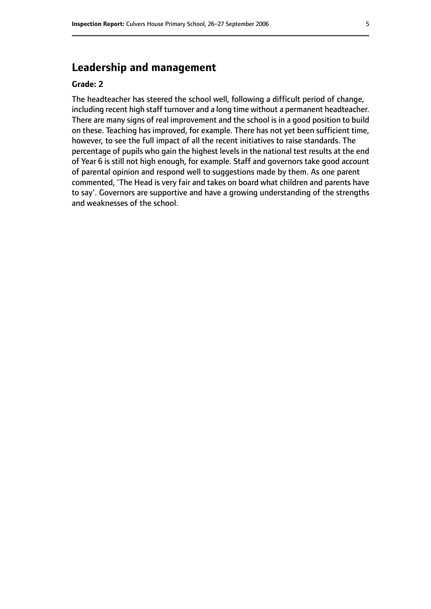# **Leadership and management**

#### **Grade: 2**

The headteacher has steered the school well, following a difficult period of change, including recent high staff turnover and a long time without a permanent headteacher. There are many signs of real improvement and the school is in a good position to build on these. Teaching has improved, for example. There has not yet been sufficient time, however, to see the full impact of all the recent initiatives to raise standards. The percentage of pupils who gain the highest levels in the national test results at the end of Year 6 is still not high enough, for example. Staff and governors take good account of parental opinion and respond well to suggestions made by them. As one parent commented, 'The Head is very fair and takes on board what children and parents have to say'. Governors are supportive and have a growing understanding of the strengths and weaknesses of the school.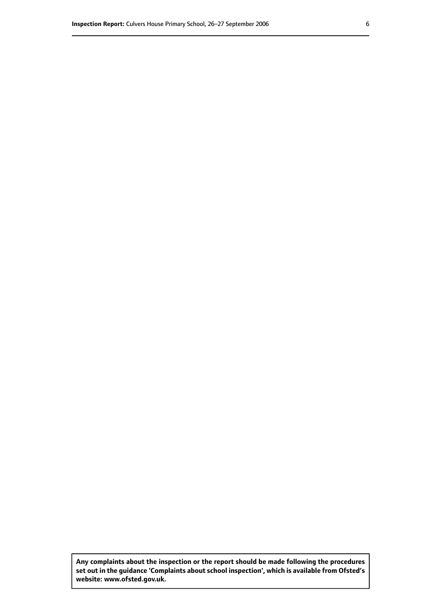**Any complaints about the inspection or the report should be made following the procedures set out inthe guidance 'Complaints about school inspection', whichis available from Ofsted's website: www.ofsted.gov.uk.**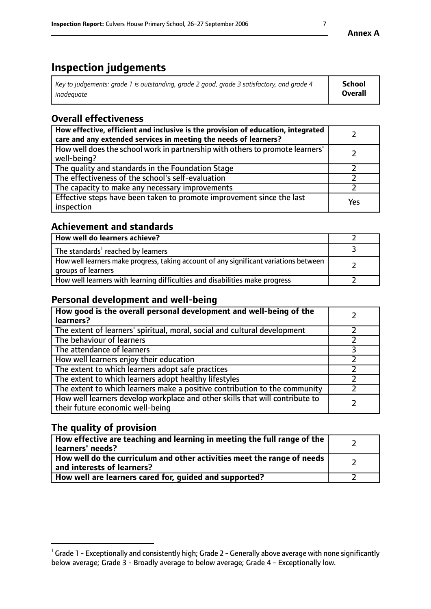# **Inspection judgements**

| Key to judgements: grade 1 is outstanding, grade 2 good, grade 3 satisfactory, and grade 4 | School  |
|--------------------------------------------------------------------------------------------|---------|
| inadeauate                                                                                 | Overall |

# **Overall effectiveness**

| How effective, efficient and inclusive is the provision of education, integrated<br>care and any extended services in meeting the needs of learners? |     |
|------------------------------------------------------------------------------------------------------------------------------------------------------|-----|
| How well does the school work in partnership with others to promote learners'<br>well-being?                                                         |     |
| The quality and standards in the Foundation Stage                                                                                                    |     |
| The effectiveness of the school's self-evaluation                                                                                                    |     |
| The capacity to make any necessary improvements                                                                                                      |     |
| Effective steps have been taken to promote improvement since the last<br>inspection                                                                  | Yes |

## **Achievement and standards**

| How well do learners achieve?                                                                               |  |
|-------------------------------------------------------------------------------------------------------------|--|
| The standards <sup>1</sup> reached by learners                                                              |  |
| How well learners make progress, taking account of any significant variations between<br>groups of learners |  |
| How well learners with learning difficulties and disabilities make progress                                 |  |

# **Personal development and well-being**

| How good is the overall personal development and well-being of the<br>learners?                                  |  |
|------------------------------------------------------------------------------------------------------------------|--|
| The extent of learners' spiritual, moral, social and cultural development                                        |  |
| The behaviour of learners                                                                                        |  |
| The attendance of learners                                                                                       |  |
| How well learners enjoy their education                                                                          |  |
| The extent to which learners adopt safe practices                                                                |  |
| The extent to which learners adopt healthy lifestyles                                                            |  |
| The extent to which learners make a positive contribution to the community                                       |  |
| How well learners develop workplace and other skills that will contribute to<br>their future economic well-being |  |

# **The quality of provision**

| How effective are teaching and learning in meeting the full range of the<br>  learners' needs?                      |  |
|---------------------------------------------------------------------------------------------------------------------|--|
| $\mid$ How well do the curriculum and other activities meet the range of needs<br>$\mid$ and interests of learners? |  |
| How well are learners cared for, guided and supported?                                                              |  |

 $^1$  Grade 1 - Exceptionally and consistently high; Grade 2 - Generally above average with none significantly below average; Grade 3 - Broadly average to below average; Grade 4 - Exceptionally low.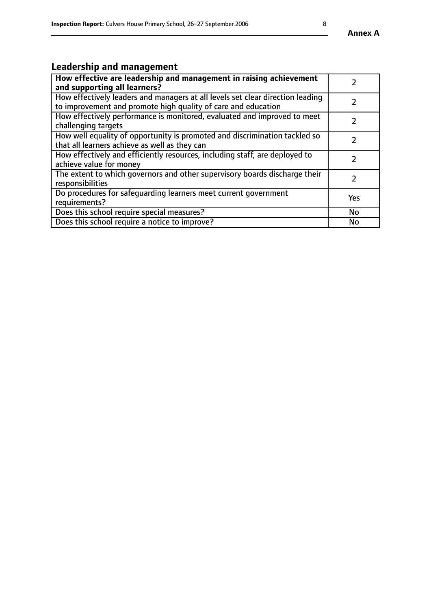# **Leadership and management**

| How effective are leadership and management in raising achievement<br>and supporting all learners?                                              |               |
|-------------------------------------------------------------------------------------------------------------------------------------------------|---------------|
| How effectively leaders and managers at all levels set clear direction leading<br>to improvement and promote high quality of care and education |               |
| How effectively performance is monitored, evaluated and improved to meet<br>challenging targets                                                 | $\mathcal{L}$ |
| How well equality of opportunity is promoted and discrimination tackled so<br>that all learners achieve as well as they can                     |               |
| How effectively and efficiently resources, including staff, are deployed to<br>achieve value for money                                          | $\mathcal{P}$ |
| The extent to which governors and other supervisory boards discharge their<br>responsibilities                                                  |               |
| Do procedures for safequarding learners meet current government<br>requirements?                                                                | Yes           |
| Does this school require special measures?                                                                                                      | No            |
| Does this school require a notice to improve?                                                                                                   | <b>No</b>     |